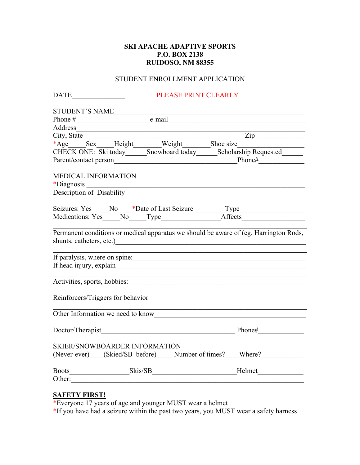## **SKI APACHE ADAPTIVE SPORTS P.O. BOX 2138 RUIDOSO, NM 88355**

## STUDENT ENROLLMENT APPLICATION

| <b>DATE</b> |                            |                                                                                                                                                                                                                                | PLEASE PRINT CLEARLY |  |                                                                                                                        |  |
|-------------|----------------------------|--------------------------------------------------------------------------------------------------------------------------------------------------------------------------------------------------------------------------------|----------------------|--|------------------------------------------------------------------------------------------------------------------------|--|
|             |                            |                                                                                                                                                                                                                                |                      |  |                                                                                                                        |  |
|             |                            |                                                                                                                                                                                                                                |                      |  |                                                                                                                        |  |
|             |                            | Address and the contract of the contract of the contract of the contract of the contract of the contract of the contract of the contract of the contract of the contract of the contract of the contract of the contract of th |                      |  |                                                                                                                        |  |
| City, State |                            |                                                                                                                                                                                                                                |                      |  |                                                                                                                        |  |
|             |                            |                                                                                                                                                                                                                                |                      |  |                                                                                                                        |  |
|             |                            |                                                                                                                                                                                                                                |                      |  | CHECK ONE: Ski today______Snowboard today_________Scholarship Requested__________                                      |  |
|             |                            |                                                                                                                                                                                                                                |                      |  |                                                                                                                        |  |
|             |                            |                                                                                                                                                                                                                                |                      |  |                                                                                                                        |  |
|             | <b>MEDICAL INFORMATION</b> |                                                                                                                                                                                                                                |                      |  |                                                                                                                        |  |
|             |                            |                                                                                                                                                                                                                                |                      |  |                                                                                                                        |  |
|             |                            |                                                                                                                                                                                                                                |                      |  |                                                                                                                        |  |
|             |                            |                                                                                                                                                                                                                                |                      |  |                                                                                                                        |  |
|             |                            |                                                                                                                                                                                                                                |                      |  | Seizures: Yes No *Date of Last Seizure Type Type Nedications: Yes No Type Affects                                      |  |
|             |                            |                                                                                                                                                                                                                                |                      |  |                                                                                                                        |  |
|             |                            |                                                                                                                                                                                                                                |                      |  | Permanent conditions or medical apparatus we should be aware of (eg. Harrington Rods,                                  |  |
|             |                            | shunts, catheters, etc.)                                                                                                                                                                                                       |                      |  |                                                                                                                        |  |
|             |                            |                                                                                                                                                                                                                                |                      |  |                                                                                                                        |  |
|             |                            |                                                                                                                                                                                                                                |                      |  | If paralysis, where on spine:                                                                                          |  |
|             |                            |                                                                                                                                                                                                                                |                      |  |                                                                                                                        |  |
|             |                            |                                                                                                                                                                                                                                |                      |  | <u> 1989 - Johann Johann Johann Johann Johann Johann Johann Johann Johann Johann Johann Johann Johann Johann Joh</u>   |  |
|             |                            |                                                                                                                                                                                                                                |                      |  |                                                                                                                        |  |
|             |                            |                                                                                                                                                                                                                                |                      |  | <u> 1989 - Johann Barbara, markazar margolaria (h. 1989).</u><br>Reinforcers/Triggers for behavior                     |  |
|             |                            |                                                                                                                                                                                                                                |                      |  | <u> 1989 - Johann John Stoff, deutscher Stoffen und der Stoffen und der Stoffen und der Stoffen und der Stoffen un</u> |  |
|             |                            |                                                                                                                                                                                                                                |                      |  | Other Information we need to know                                                                                      |  |
|             |                            |                                                                                                                                                                                                                                |                      |  | Doctor/Therapist Phone#                                                                                                |  |
|             |                            |                                                                                                                                                                                                                                |                      |  |                                                                                                                        |  |
|             |                            | <b>SKIER/SNOWBOARDER INFORMATION</b>                                                                                                                                                                                           |                      |  |                                                                                                                        |  |
|             |                            |                                                                                                                                                                                                                                |                      |  | (Never-ever) (Skied/SB before) Number of times? Where?                                                                 |  |
|             |                            |                                                                                                                                                                                                                                |                      |  |                                                                                                                        |  |
|             |                            |                                                                                                                                                                                                                                |                      |  |                                                                                                                        |  |
|             |                            | Other:                                                                                                                                                                                                                         |                      |  |                                                                                                                        |  |
|             |                            |                                                                                                                                                                                                                                |                      |  |                                                                                                                        |  |

## **SAFETY FIRST!**

\*Everyone 17 years of age and younger MUST wear a helmet

\*If you have had a seizure within the past two years, you MUST wear a safety harness